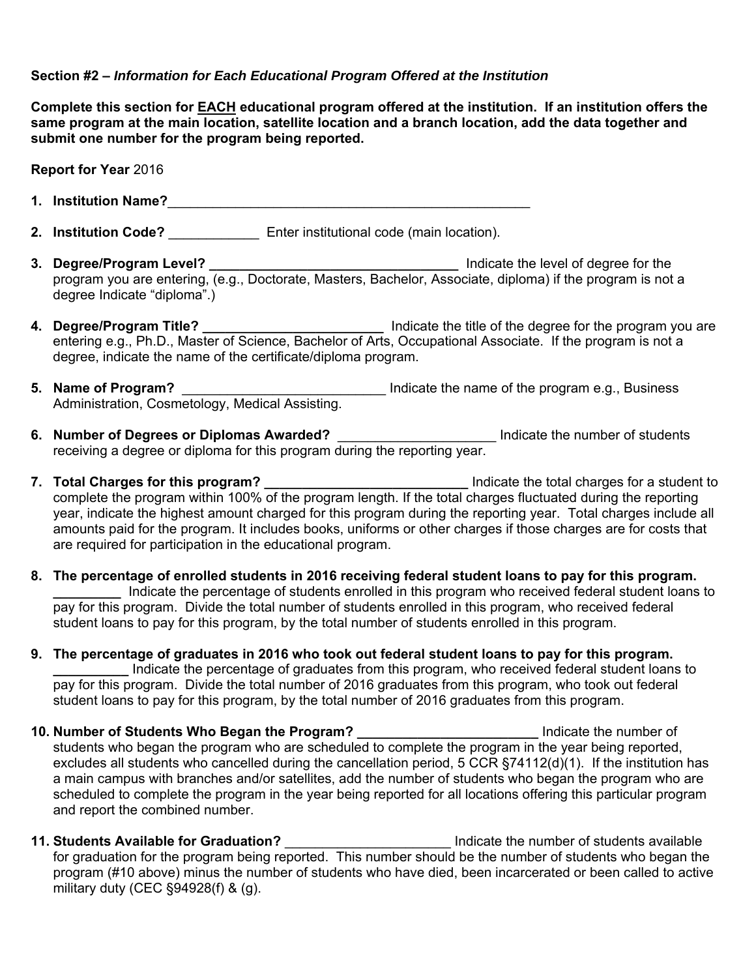## **Section #2 –** *Information for Each Educational Program Offered at the Institution*

**Complete this section for EACH educational program offered at the institution. If an institution offers the same program at the main location, satellite location and a branch location, add the data together and submit one number for the program being reported.** 

**Report for Year** 2016

- **1. Institution Name?**\_\_\_\_\_\_\_\_\_\_\_\_\_\_\_\_\_\_\_\_\_\_\_\_\_\_\_\_\_\_\_\_\_\_\_\_\_\_\_\_\_\_\_\_\_\_\_\_
- **2. Institution Code?** \_\_\_\_\_\_\_\_\_\_\_\_ Enter institutional code (main location).
- **3. Degree/Program Level? \_\_\_\_\_\_\_\_\_\_\_\_\_\_\_\_\_\_\_\_\_\_\_\_\_\_\_\_\_\_\_\_\_** Indicate the level of degree for the program you are entering, (e.g., Doctorate, Masters, Bachelor, Associate, diploma) if the program is not a degree Indicate "diploma".)
- **4. Degree/Program Title?** \_\_\_\_\_\_\_\_\_\_\_\_\_\_\_\_\_\_\_\_\_\_\_\_\_\_\_\_\_\_\_\_\_ Indicate the title of the degree for the program you are entering e.g., Ph.D., Master of Science, Bachelor of Arts, Occupational Associate. If the program is not a degree, indicate the name of the certificate/diploma program.
- **5. Name of Program?** \_\_\_\_\_\_\_\_\_\_\_\_\_\_\_\_\_\_\_\_\_\_\_\_\_\_\_ Indicate the name of the program e.g., Business Administration, Cosmetology, Medical Assisting.
- **6. Number of Degrees or Diplomas Awarded? Conserver Conserver Conserversity** Indicate the number of students receiving a degree or diploma for this program during the reporting year.
- **7. Total Charges for this program?** \_\_\_\_\_\_\_\_\_\_\_\_\_\_\_\_\_\_\_\_\_\_\_\_\_\_\_\_\_\_\_\_\_\_\_Indicate the total charges for a student to complete the program within 100% of the program length. If the total charges fluctuated during the reporting year, indicate the highest amount charged for this program during the reporting year. Total charges include all amounts paid for the program. It includes books, uniforms or other charges if those charges are for costs that are required for participation in the educational program.
- **\_\_\_\_\_\_\_\_\_** Indicate the percentage of students enrolled in this program who received federal student loans to **8. The percentage of enrolled students in 2016 receiving federal student loans to pay for this program.**  pay for this program. Divide the total number of students enrolled in this program, who received federal student loans to pay for this program, by the total number of students enrolled in this program.
- **9. The percentage of graduates in 2016 who took out federal student loans to pay for this program. \_\_\_\_\_\_\_\_\_\_** Indicate the percentage of graduates from this program, who received federal student loans to pay for this program. Divide the total number of 2016 graduates from this program, who took out federal student loans to pay for this program, by the total number of 2016 graduates from this program.
- **10. Number of Students Who Began the Program? \_\_\_\_\_\_\_\_\_\_\_\_\_\_\_\_\_\_\_\_\_\_\_\_** Indicate the number of students who began the program who are scheduled to complete the program in the year being reported, excludes all students who cancelled during the cancellation period, 5 CCR §74112(d)(1). If the institution has a main campus with branches and/or satellites, add the number of students who began the program who are scheduled to complete the program in the year being reported for all locations offering this particular program and report the combined number.
- **11. Students Available for Graduation?** \_\_\_\_\_\_\_\_\_\_\_\_\_\_\_\_\_\_\_\_\_\_ Indicate the number of students available for graduation for the program being reported. This number should be the number of students who began the program (#10 above) minus the number of students who have died, been incarcerated or been called to active military duty (CEC §94928(f) & (g).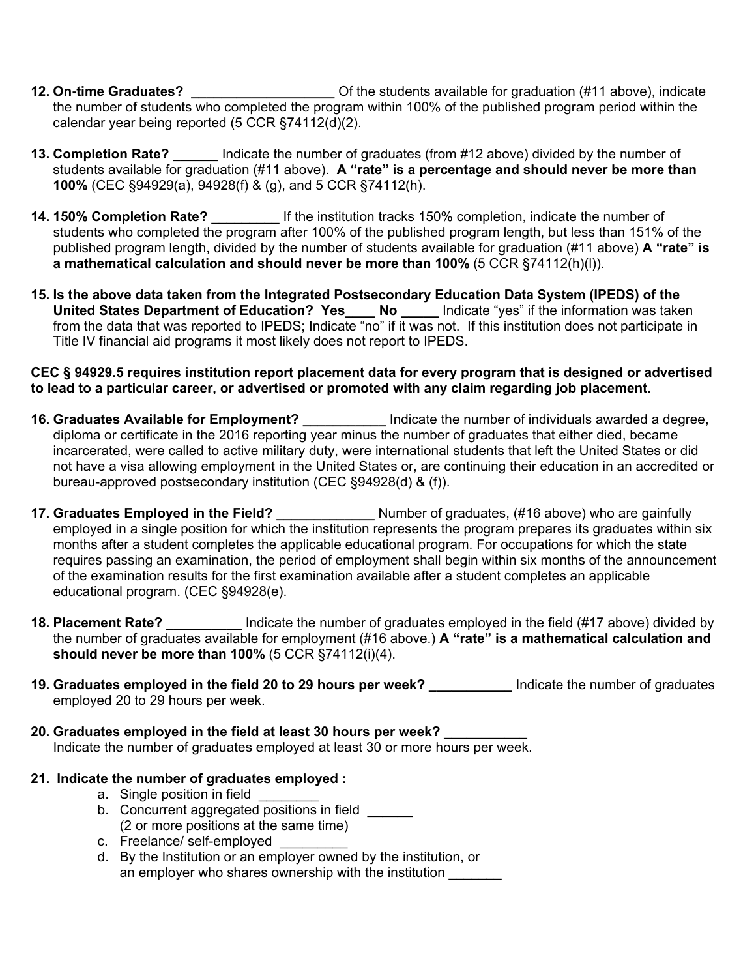- **12. On-time Graduates? \_\_\_\_\_\_\_\_\_\_\_\_\_\_\_\_\_\_\_** Of the students available for graduation (#11 above), indicate the number of students who completed the program within 100% of the published program period within the calendar year being reported (5 CCR §74112(d)(2).
- **13. Completion Rate? \_\_\_\_\_\_** Indicate the number of graduates (from #12 above) divided by the number of students available for graduation (#11 above). **A "rate" is a percentage and should never be more than 100%** (CEC §94929(a), 94928(f) & (g), and 5 CCR §74112(h).
- **14. 150% Completion Rate?** \_\_\_\_\_\_\_\_\_ If the institution tracks 150% completion, indicate the number of students who completed the program after 100% of the published program length, but less than 151% of the published program length, divided by the number of students available for graduation (#11 above) **A "rate" is a mathematical calculation and should never be more than 100%** (5 CCR §74112(h)(l)).
- **15. Is the above data taken from the Integrated Postsecondary Education Data System (IPEDS) of the United States Department of Education? Yes\_\_\_\_ No \_\_\_\_\_** Indicate "yes" if the information was taken from the data that was reported to IPEDS; Indicate "no" if it was not. If this institution does not participate in Title IV financial aid programs it most likely does not report to IPEDS.

#### **CEC § 94929.5 requires institution report placement data for every program that is designed or advertised to lead to a particular career, or advertised or promoted with any claim regarding job placement.**

- **16. Graduates Available for Employment? \_\_\_\_\_\_\_\_\_\_\_** Indicate the number of individuals awarded a degree, diploma or certificate in the 2016 reporting year minus the number of graduates that either died, became incarcerated, were called to active military duty, were international students that left the United States or did not have a visa allowing employment in the United States or, are continuing their education in an accredited or bureau-approved postsecondary institution (CEC §94928(d) & (f)).
- **17. Graduates Employed in the Field? \_\_\_\_\_\_\_\_\_\_\_\_\_** Number of graduates, (#16 above) who are gainfully employed in a single position for which the institution represents the program prepares its graduates within six months after a student completes the applicable educational program. For occupations for which the state requires passing an examination, the period of employment shall begin within six months of the announcement of the examination results for the first examination available after a student completes an applicable educational program. (CEC §94928(e).
- **18. Placement Rate?** \_\_\_\_\_\_\_\_\_\_ Indicate the number of graduates employed in the field (#17 above) divided by the number of graduates available for employment (#16 above.) **A "rate" is a mathematical calculation and should never be more than 100%** (5 CCR §74112(i)(4).
- **19. Graduates employed in the field 20 to 29 hours per week? \_\_\_\_\_\_\_\_\_\_\_** Indicate the number of graduates employed 20 to 29 hours per week.
- **20. Graduates employed in the field at least 30 hours per week?** \_\_\_\_\_\_\_\_\_\_\_ Indicate the number of graduates employed at least 30 or more hours per week.
- **21. Indicate the number of graduates employed :**
	- a. Single position in field
	- b. Concurrent aggregated positions in field \_\_\_\_\_\_ (2 or more positions at the same time)
	- c. Freelance/ self-employed
	- d. By the Institution or an employer owned by the institution, or an employer who shares ownership with the institution \_\_\_\_\_\_\_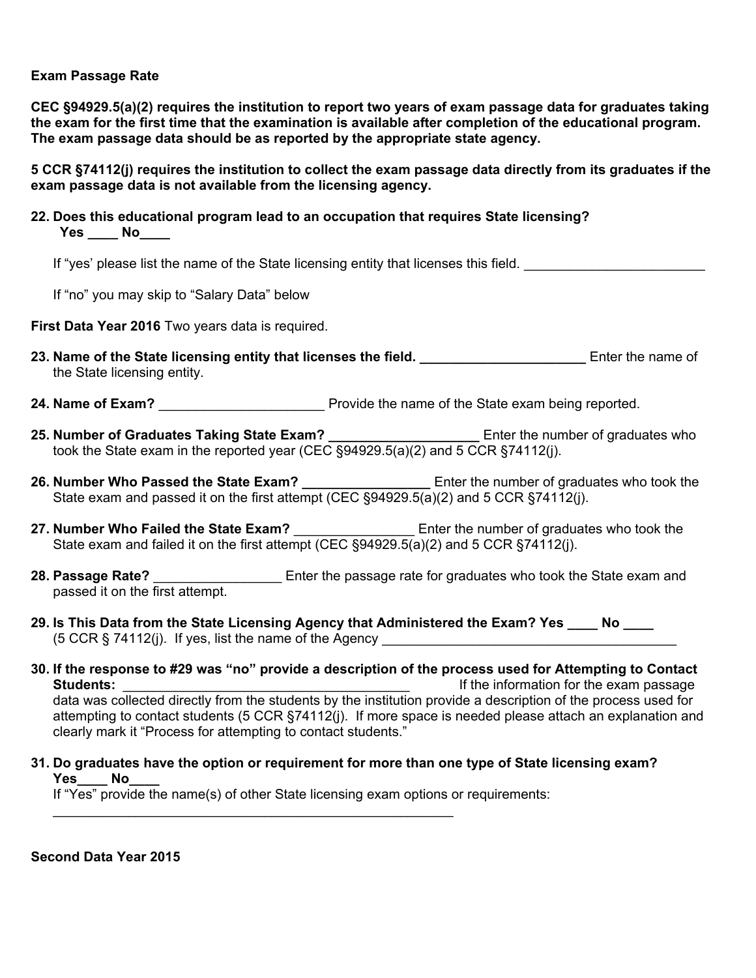#### **Exam Passage Rate**

 **The exam passage data should be as reported by the appropriate state agency. CEC §94929.5(a)(2) requires the institution to report two years of exam passage data for graduates taking the exam for the first time that the examination is available after completion of the educational program.** 

**5 CCR §74112(j) requires the institution to collect the exam passage data directly from its graduates if the exam passage data is not available from the licensing agency.**

 **Yes \_\_\_\_ No\_\_\_\_ 22. Does this educational program lead to an occupation that requires State licensing?** 

If "yes' please list the name of the State licensing entity that licenses this field.

If "no" you may skip to "Salary Data" below

**First Data Year 2016** Two years data is required.

- 23. Name of the State licensing entity that licenses the field. **\_\_\_\_\_\_\_\_\_\_\_\_\_\_\_\_\_\_\_\_\_\_\_** Enter the name of the State licensing entity.
- 24. Name of Exam? **24. Name of Exam? Exam Exam Exam Exam Exam Exam Exam Exam Exam Exam Exam Exam Exam Exam Exam Exam Exam Exam Exam Exam Exam Exam Exam Exam Exam Exam E**
- **25. Number of Graduates Taking State Exam? \_\_\_\_\_\_\_\_\_\_\_\_\_\_\_\_\_\_\_\_** Enter the number of graduates who took the State exam in the reported year (CEC §94929.5(a)(2) and 5 CCR §74112(j).
- **26. Number Who Passed the State Exam? \_\_\_\_\_\_\_\_\_\_\_\_\_\_\_\_\_** Enter the number of graduates who took the State exam and passed it on the first attempt (CEC §94929.5(a)(2) and 5 CCR §74112(j).
- 27. Number Who Failed the State Exam? \_\_\_\_\_\_\_\_\_\_\_\_\_\_\_\_\_\_\_\_\_\_\_\_Enter the number of graduates who took the State exam and failed it on the first attempt (CEC §94929.5(a)(2) and 5 CCR §74112(i).
- **28. Passage Rate?** \_\_\_\_\_\_\_\_\_\_\_\_\_\_\_\_\_ Enter the passage rate for graduates who took the State exam and passed it on the first attempt.
- 29. Is This Data from the State Licensing Agency that Administered the Exam? Yes \_\_\_\_\_ No  $(5 \text{ CCR} \text{ } 5 \text{ } 74112$ (j). If yes, list the name of the Agency
- **30. If the response to #29 was "no" provide a description of the process used for Attempting to Contact Students: Students: Students: Example 2012 If the information for the exam passage** data was collected directly from the students by the institution provide a description of the process used for attempting to contact students (5 CCR §74112(j). If more space is needed please attach an explanation and clearly mark it "Process for attempting to contact students."
- J **31. Do graduates have the option or requirement for more than one type of State licensing exam? Yes\_\_\_\_ No\_\_\_\_**

If "Yes" provide the name(s) of other State licensing exam options or requirements:

**Second Data Year 2015**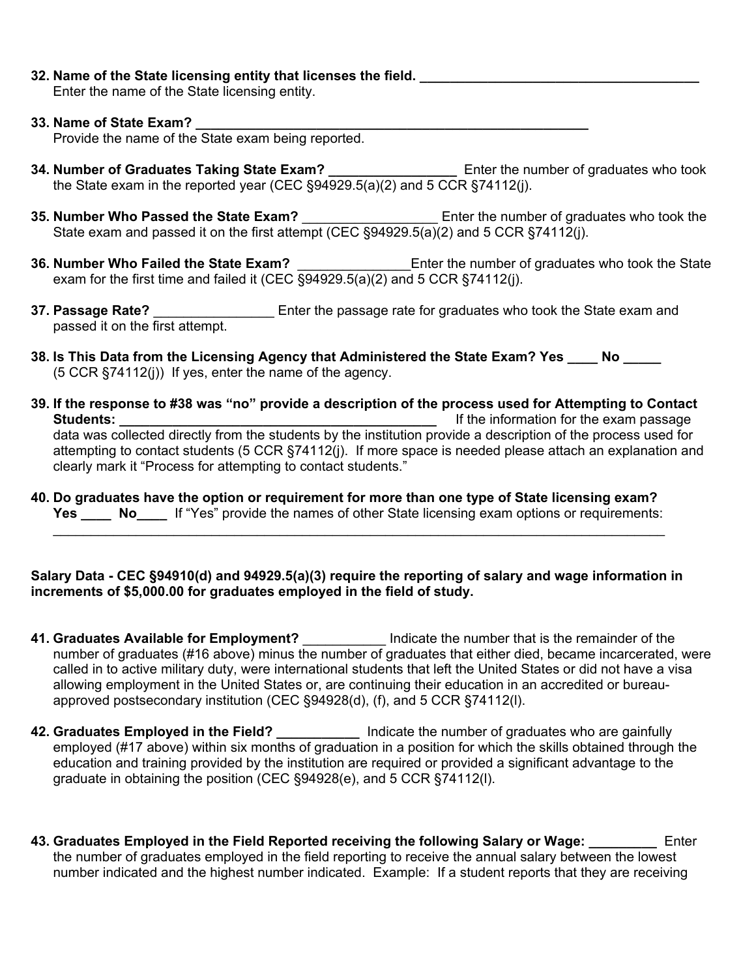**32. Name of the State licensing entity that licenses the field.** 

Enter the name of the State licensing entity.

# **33. Name of State Exam? \_\_\_\_\_\_\_\_\_\_\_\_\_\_\_\_\_\_\_\_\_\_\_\_\_\_\_\_\_\_\_\_\_\_\_\_\_\_\_\_\_\_\_\_\_\_\_\_\_\_\_\_**

Provide the name of the State exam being reported.

- **34. Number of Graduates Taking State Exam? \_\_\_\_\_\_\_\_\_\_\_\_\_\_\_\_\_** Enter the number of graduates who took the State exam in the reported year (CEC §94929.5(a)(2) and 5 CCR §74112(j).
- **35. Number Who Passed the State Exam?** \_\_\_\_\_\_\_\_\_\_\_\_\_\_\_\_\_\_\_\_\_\_\_\_\_\_\_\_\_Enter the number of graduates who took the State exam and passed it on the first attempt (CEC §94929.5(a)(2) and 5 CCR §74112(j).
- **36. Number Who Failed the State Exam?** \_\_\_\_\_\_\_\_\_\_\_\_\_\_\_Enter the number of graduates who took the State exam for the first time and failed it (CEC  $\overline{\S^{94929.5(a)(2)}}$  and 5 CCR  $\overline{\S^{74112(i)}}$ .
- **37. Passage Rate?** \_\_\_\_\_\_\_\_\_\_\_\_\_\_\_\_ Enter the passage rate for graduates who took the State exam and passed it on the first attempt.
- **38. Is This Data from the Licensing Agency that Administered the State Exam? Yes \_\_\_\_ No \_\_\_\_\_**  (5 CCR §74112(j)) If yes, enter the name of the agency.
- **39. If the response to #38 was "no" provide a description of the process used for Attempting to Contact Students: \_\_\_\_\_\_\_\_\_\_\_\_\_\_\_\_\_\_\_\_\_\_\_\_\_\_\_\_\_\_\_\_\_\_\_\_\_\_\_\_\_\_** If the information for the exam passage data was collected directly from the students by the institution provide a description of the process used for attempting to contact students (5 CCR §74112(j). If more space is needed please attach an explanation and clearly mark it "Process for attempting to contact students."
- **40. Do graduates have the option or requirement for more than one type of State licensing exam?** \_\_\_\_\_\_\_\_\_\_\_\_\_\_\_\_\_\_\_\_\_\_\_\_\_\_\_\_\_\_\_\_\_\_\_\_\_\_\_\_\_\_\_\_\_\_\_\_\_\_\_\_\_\_\_\_\_\_\_\_\_\_\_\_\_\_\_\_\_\_\_\_\_\_\_\_\_\_\_\_\_ **Yes \_\_\_\_ No\_\_\_\_** If "Yes" provide the names of other State licensing exam options or requirements:

**Salary Data - CEC §94910(d) and 94929.5(a)(3) require the reporting of salary and wage information in increments of \$5,000.00 for graduates employed in the field of study.**

- **41. Graduates Available for Employment?** \_\_\_\_\_\_\_\_\_\_\_ Indicate the number that is the remainder of the number of graduates (#16 above) minus the number of graduates that either died, became incarcerated, were called in to active military duty, were international students that left the United States or did not have a visa allowing employment in the United States or, are continuing their education in an accredited or bureauapproved postsecondary institution (CEC §94928(d), (f), and 5 CCR §74112(l).
- **42. Graduates Employed in the Field? \_\_\_\_\_\_\_\_\_\_\_** Indicate the number of graduates who are gainfully employed (#17 above) within six months of graduation in a position for which the skills obtained through the education and training provided by the institution are required or provided a significant advantage to the graduate in obtaining the position (CEC §94928(e), and 5 CCR §74112(l).
- **43. Graduates Employed in the Field Reported receiving the following Salary or Wage: \_\_\_\_\_\_\_\_\_** Enter the number of graduates employed in the field reporting to receive the annual salary between the lowest number indicated and the highest number indicated. Example: If a student reports that they are receiving